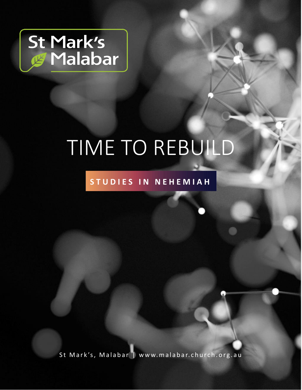

# TIME TO REBUILD

### S T U D I E S I N N E H E M I A H

St Mark's, Malabar | www.malabar.church.org.au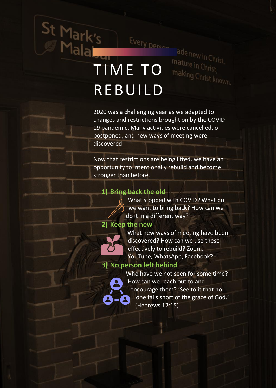# St Mark's Every percent REBUILD

Every person

ade new in Christ,

making Christ known.

mature in Christ,

2020 was a challenging year as we adapted to changes and restrictions brought on by the COVID-19 pandemic. Many activities were cancelled, or postponed, and new ways of meeting were discovered.

Now that restrictions are being lifted, we have an opportunity to intentionally rebuild and become stronger than before.

#### **1) Bring back the old**



#### **2) Keep the new**



What new ways of meeting have been discovered? How can we use these effectively to rebuild? Zoom, YouTube, WhatsApp, Facebook?

#### **3) No person left behind**

Who have we not seen for some time? How can we reach out to and encourage them? 'See to it that no one falls short of the grace of God.' (Hebrews 12:15)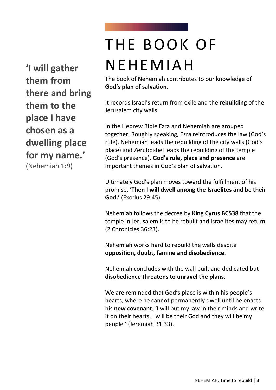**'I will gather them from there and bring them to the place I have chosen as a dwelling place for my name.'** 

(Nehemiah 1:9)

## THE BOOK OF NEHEMIAH

The book of Nehemiah contributes to our knowledge of **God's plan of salvation**.

It records Israel's return from exile and the **rebuilding** of the Jerusalem city walls.

In the Hebrew Bible Ezra and Nehemiah are grouped together. Roughly speaking, Ezra reintroduces the law (God's rule), Nehemiah leads the rebuilding of the city walls (God's place) and Zerubbabel leads the rebuilding of the temple (God's presence). **God's rule, place and presence** are important themes in God's plan of salvation.

Ultimately God's plan moves toward the fulfillment of his promise, **'Then I will dwell among the Israelites and be their God.'** (Exodus 29:45).

Nehemiah follows the decree by **King Cyrus BC538** that the temple in Jerusalem is to be rebuilt and Israelites may return (2 Chronicles 36:23).

Nehemiah works hard to rebuild the walls despite **opposition, doubt, famine and disobedience**.

Nehemiah concludes with the wall built and dedicated but **disobedience threatens to unravel the plans**.

We are reminded that God's place is within his people's hearts, where he cannot permanently dwell until he enacts his **new covenant**, 'I will put my law in their minds and write it on their hearts, I will be their God and they will be my people.' (Jeremiah 31:33).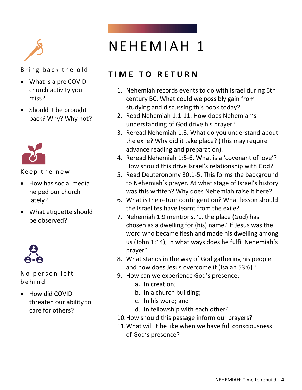

- What is a pre COVID church activity you miss?
- Should it be brought back? Why? Why not?



Keep the new

- How has social media helped our church lately?
- What etiquette should be observed?



No person left b e h i n d

• How did COVID threaten our ability to care for others?

### N E H E M I A H 1

#### **TIME TO RETURN**

- 1. Nehemiah records events to do with Israel during 6th century BC. What could we possibly gain from studying and discussing this book today?
- 2. Read Nehemiah 1:1-11. How does Nehemiah's understanding of God drive his prayer?
- 3. Reread Nehemiah 1:3. What do you understand about the exile? Why did it take place? (This may require advance reading and preparation).
- 4. Reread Nehemiah 1:5-6. What is a 'covenant of love'? How should this drive Israel's relationship with God?
- 5. Read Deuteronomy 30:1-5. This forms the background to Nehemiah's prayer. At what stage of Israel's history was this written? Why does Nehemiah raise it here?
- 6. What is the return contingent on? What lesson should the Israelites have learnt from the exile?
- 7. Nehemiah 1:9 mentions, '… the place (God) has chosen as a dwelling for (his) name.' If Jesus was the word who became flesh and made his dwelling among us (John 1:14), in what ways does he fulfil Nehemiah's prayer?
- 8. What stands in the way of God gathering his people and how does Jesus overcome it (Isaiah 53:6)?
- 9. How can we experience God's presence:
	- a. In creation;
	- b. In a church building;
	- c. In his word; and
	- d. In fellowship with each other?
- 10.How should this passage inform our prayers?
- 11.What will it be like when we have full consciousness of God's presence?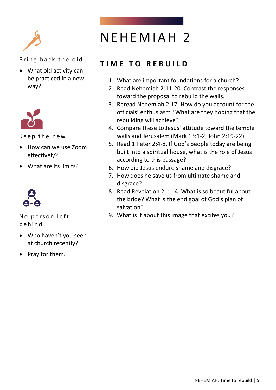

• What old activity can be practiced in a new way?



Keep the new

- How can we use Zoom effectively?
- What are its limits?



No person left b e h i n d

- Who haven't you seen at church recently?
- Pray for them.

### NEHEMIAH<sub>2</sub>

### **T I M E T O R E B U I L D**

- 1. What are important foundations for a church?
- 2. Read Nehemiah 2:11-20. Contrast the responses toward the proposal to rebuild the walls.
- 3. Reread Nehemiah 2:17. How do you account for the officials' enthusiasm? What are they hoping that the rebuilding will achieve?
- 4. Compare these to Jesus' attitude toward the temple walls and Jerusalem (Mark 13:1-2, John 2:19-22).
- 5. Read 1 Peter 2:4-8. If God's people today are being built into a spiritual house, what is the role of Jesus according to this passage?
- 6. How did Jesus endure shame and disgrace?
- 7. How does he save us from ultimate shame and disgrace?
- 8. Read Revelation 21:1-4. What is so beautiful about the bride? What is the end goal of God's plan of salvation?
- 9. What is it about this image that excites you?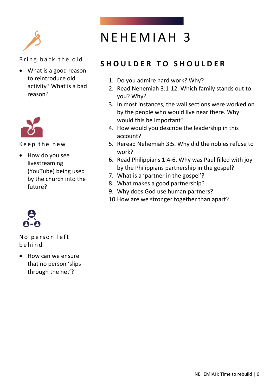

• What is a good reason to reintroduce old activity? What is a bad reason?



Keep the new

• How do you see livestreaming (YouTube) being used by the church into the future?

No person left b e h i n d

• How can we ensure that no person 'slips through the net'?

### N E H E M I A H 3

### **S H O U L D E R T O S H O U L D E R**

- 1. Do you admire hard work? Why?
- 2. Read Nehemiah 3:1-12. Which family stands out to you? Why?
- 3. In most instances, the wall sections were worked on by the people who would live near there. Why would this be important?
- 4. How would you describe the leadership in this account?
- 5. Reread Nehemiah 3:5. Why did the nobles refuse to work?
- 6. Read Philippians 1:4-6. Why was Paul filled with joy by the Philippians partnership in the gospel?
- 7. What is a 'partner in the gospel'?
- 8. What makes a good partnership?
- 9. Why does God use human partners?
- 10.How are we stronger together than apart?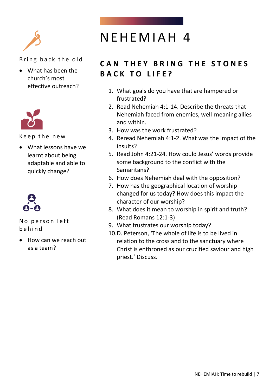

• What has been the church's most effective outreach?



Keep the new

• What lessons have we learnt about being adaptable and able to quickly change?



No person left b e h i n d

• How can we reach out as a team?

### NEHEMIAH 4

### **CAN THEY BRING THE STONES BACK TO LIFE?**

- 1. What goals do you have that are hampered or frustrated?
- 2. Read Nehemiah 4:1-14. Describe the threats that Nehemiah faced from enemies, well-meaning allies and within.
- 3. How was the work frustrated?
- 4. Reread Nehemiah 4:1-2. What was the impact of the insults?
- 5. Read John 4:21-24. How could Jesus' words provide some background to the conflict with the Samaritans?
- 6. How does Nehemiah deal with the opposition?
- 7. How has the geographical location of worship changed for us today? How does this impact the character of our worship?
- 8. What does it mean to worship in spirit and truth? (Read Romans 12:1-3)
- 9. What frustrates our worship today?
- 10.D. Peterson, 'The whole of life is to be lived in relation to the cross and to the sanctuary where Christ is enthroned as our crucified saviour and high priest.' Discuss.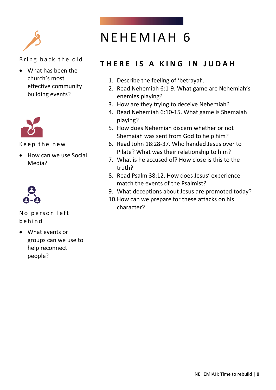

• What has been the church's most effective community building events?



Keep the new

• How can we use Social Media?



No person left b e h i n d

• What events or groups can we use to help reconnect people?

### NEHEMIAH 6

### **T H E R E I S A K I N G I N J U D A H**

- 1. Describe the feeling of 'betrayal'.
- 2. Read Nehemiah 6:1-9. What game are Nehemiah's enemies playing?
- 3. How are they trying to deceive Nehemiah?
- 4. Read Nehemiah 6:10-15. What game is Shemaiah playing?
- 5. How does Nehemiah discern whether or not Shemaiah was sent from God to help him?
- 6. Read John 18:28-37. Who handed Jesus over to Pilate? What was their relationship to him?
- 7. What is he accused of? How close is this to the truth?
- 8. Read Psalm 38:12. How does Jesus' experience match the events of the Psalmist?
- 9. What deceptions about Jesus are promoted today?
- 10.How can we prepare for these attacks on his character?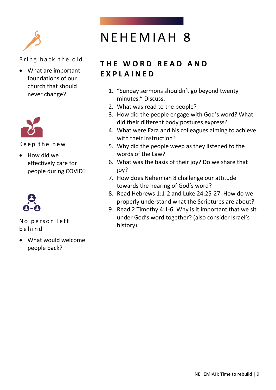

• What are important foundations of our church that should never change?



Keep the new

• How did we effectively care for people during COVID?



No person left b e h i n d

• What would welcome people back?

### NEHEMIAH 8

### **T H E W O R D R E A D A N D E X P L A I N E D**

- 1. "Sunday sermons shouldn't go beyond twenty minutes." Discuss.
- 2. What was read to the people?
- 3. How did the people engage with God's word? What did their different body postures express?
- 4. What were Ezra and his colleagues aiming to achieve with their instruction?
- 5. Why did the people weep as they listened to the words of the Law?
- 6. What was the basis of their joy? Do we share that joy?
- 7. How does Nehemiah 8 challenge our attitude towards the hearing of God's word?
- 8. Read Hebrews 1:1-2 and Luke 24:25-27. How do we properly understand what the Scriptures are about?
- 9. Read 2 Timothy 4:1-6. Why is it important that we sit under God's word together? (also consider Israel's history)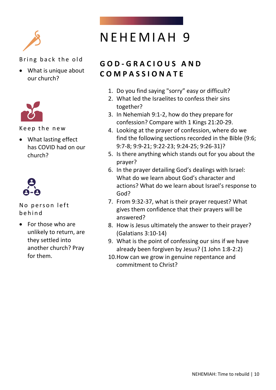

• What is unique about our church?



Keep the new

• What lasting effect has COVID had on our church?



No person left b e h i n d

• For those who are unlikely to return, are they settled into another church? Pray for them.

### NEHEMIAH 9

### **G O D - G R A C I O U S A N D C O M P A S S I O N A T E**

- 1. Do you find saying "sorry" easy or difficult?
- 2. What led the Israelites to confess their sins together?
- 3. In Nehemiah 9:1-2, how do they prepare for confession? Compare with 1 Kings 21:20-29.
- 4. Looking at the prayer of confession, where do we find the following sections recorded in the Bible (9:6; 9:7-8; 9:9-21; 9:22-23; 9:24-25; 9:26-31)?
- 5. Is there anything which stands out for you about the prayer?
- 6. In the prayer detailing God's dealings with Israel: What do we learn about God's character and actions? What do we learn about Israel's response to God?
- 7. From 9:32-37, what is their prayer request? What gives them confidence that their prayers will be answered?
- 8. How is Jesus ultimately the answer to their prayer? (Galatians 3:10-14)
- 9. What is the point of confessing our sins if we have already been forgiven by Jesus? (1 John 1:8-2:2)
- 10.How can we grow in genuine repentance and commitment to Christ?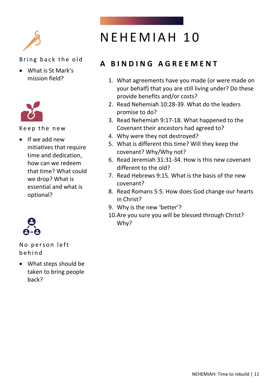

• What is St Mark's mission field?



Keep the new

• If we add new initiatives that require time and dedication, how can we redeem that time? What could we drop? What is essential and what is optional?



No person left b e h i n d

• What steps should be taken to bring people back?

### NEHEMIAH 10

### **A B I N D I N G A G R E E M E N T**

- 1. What agreements have you made (or were made on your behalf) that you are still living under? Do these provide benefits and/or costs?
- 2. Read Nehemiah 10:28-39. What do the leaders promise to do?
- 3. Read Nehemiah 9:17-18. What happened to the Covenant their ancestors had agreed to?
- 4. Why were they not destroyed?
- 5. What is different this time? Will they keep the covenant? Why/Why not?
- 6. Read Jeremiah 31:31-34. How is this new covenant different to the old?
- 7. Read Hebrews 9:15. What is the basis of the new covenant?
- 8. Read Romans 5:5. How does God change our hearts in Christ?
- 9. Why is the new 'better'?
- 10.Are you sure you will be blessed through Christ? Why?